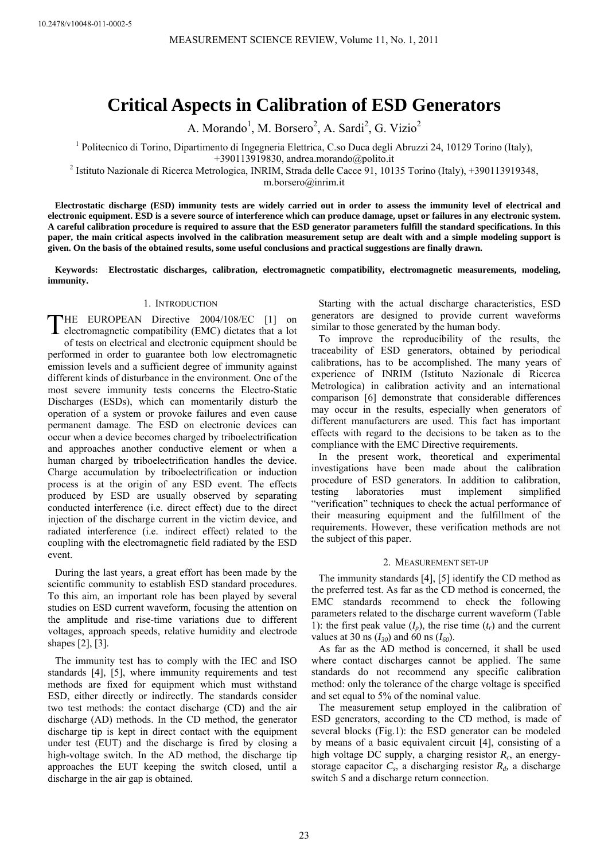# **Critical Aspects in Calibration of ESD Generators**

A. Morando<sup>1</sup>, M. Borsero<sup>2</sup>, A. Sardi<sup>2</sup>, G. Vizio<sup>2</sup>

<sup>1</sup> Politecnico di Torino, Dipartimento di Ingegneria Elettrica, C.so Duca degli Abruzzi 24, 10129 Torino (Italy),

+390113919830, andrea.morando@polito.it

+390113919830, andrea.morando@polito.it<br><sup>2</sup> Istituto Nazionale di Ricerca Metrologica, INRIM, Strada delle Cacce 91, 10135 Torino (Italy), +390113919348,

m.borsero@inrim.it

Electrostatic discharge (ESD) immunity tests are widely carried out in order to assess the immunity level of electrical and electronic equipment. ESD is a severe source of interference which can produce damage, upset or failures in any electronic system. A careful calibration procedure is required to assure that the ESD generator parameters fulfill the standard specifications. In this paper, the main critical aspects involved in the calibration measurement setup are dealt with and a simple modeling support is given. On the basis of the obtained results, some useful conclusions and practical suggestions are finally drawn.

Keywords: Electrostatic discharges, calibration, electromagnetic compatibility, electromagnetic measurements, modeling, **imm unity.** 

#### 1. INTRODUCTION

THE EUROPEAN Directive 2004/108/EC [1] on THE EUROPEAN Directive 2004/108/EC [1] on electromagnetic compatibility (EMC) dictates that a lot

performed in order to guarantee both low electromagnetic emission levels and a sufficient degree of immunity against different kinds of disturbance in the environment. One of the most severe immunity tests concerns the Electro-Static Discharges (ESDs), which can momentarily disturb the operation of a system or provoke failures and even cause and approaches another conductive element or when a human charged by triboelectrification handles the device. Charge accumulation by triboelectrification or induction process is at the origin of any ESD event. The effects produced by ESD are usually observed by separating radiated interference (i.e. indirect effect) related to the coupling with the electromagnetic field radiated by the ESD of tests on electrical and electronic equipment should be permanent damage. The ESD on electronic de vices can occur when a device becomes charged by triboelec trification conducted interference (i.e. direct effect) due to the direct injection of the discharge current in the victim de vice, and event.

scientific community to establish ESD standard proc To this aim, an important role has been played by several studies on ESD current waveform, focusing the attention on During the last years, a great effort has been ma de by the the amplitude and rise-time variations due to different voltages, approach speeds, relative humidity and electrode shapes [2], [3].

The immunity test has to comply with the IEC and ISO standards [4], [5], where immunity requirements and test methods are fixed for equipment which must withstand ESD, either directly or indirectly. The standards consider two test methods: the contact discharge (CD) and the air discharge (AD) methods. In the CD method, the generator discharge tip is kept in direct contact with the equipment under test (EUT) and the discharge is fired by closing a high-voltage switch. In the AD method, the discharge tip approaches the EUT keeping the switch closed, until a discharge in the air gap is obtained.

Starting with the actual discharge characteristics, ESD generators are designed to provide current waveforms similar to those generated by the human body.

To improve the reproducibility of the results, the traceability of ESD generators, obtained by periodical calibrations, has to be accomplished. The many years of experience of INRIM (Istituto Nazionale di Ricerca Metrologica) in calibration activity and an international comparison [6] demonstrate that considerable differences may occur in the results, especially when generators of different manufacturers are used. This fact has important effects with regard to the decisions to be taken as to the compliance with the EMC Directive requirements.

In the present work, theoretical and experimental investigations have been made about the calibration procedure of ESD generators. In addition to calibration, implement simplified "verification" techniques to check the actual performance of their measuring equipment and the fulfillment of the requirements. However, these verification methods are not testing laboratories must the subject of this paper.

## 2. MEASUREMENT SET-UP

 $\frac{1}{2}$  of the immunity standards [4], [5] identify the CD method as educes. the preferred test. As far as the CD method is concerned, the EMC standards recommend to check the following parameters related to the discharge current waveform (Table 1): the first peak value  $(I_p)$ , the rise time  $(t_r)$  and the current values at 30 ns  $(I_{30})$  and 60 ns  $(I_{60})$ .

> As far as the AD method is concerned, it shall be used where contact discharges cannot be applied. The same standards do not recommend any specific calibration method: only the tolerance of the charge voltage is specified and set equal to 5% of the nominal value.

> The measurement setup employed in the calibration of ESD generators, according to the CD method, is made of several blocks (Fig.1): the ESD generator can be modeled by means of a basic equivalent circuit [4], consisting of a high voltage DC supply, a charging resistor  $R_c$ , an energystorage capacitor  $C_s$ , a discharging resistor  $R_d$ , a discharge switch *S* and a discharge return connection.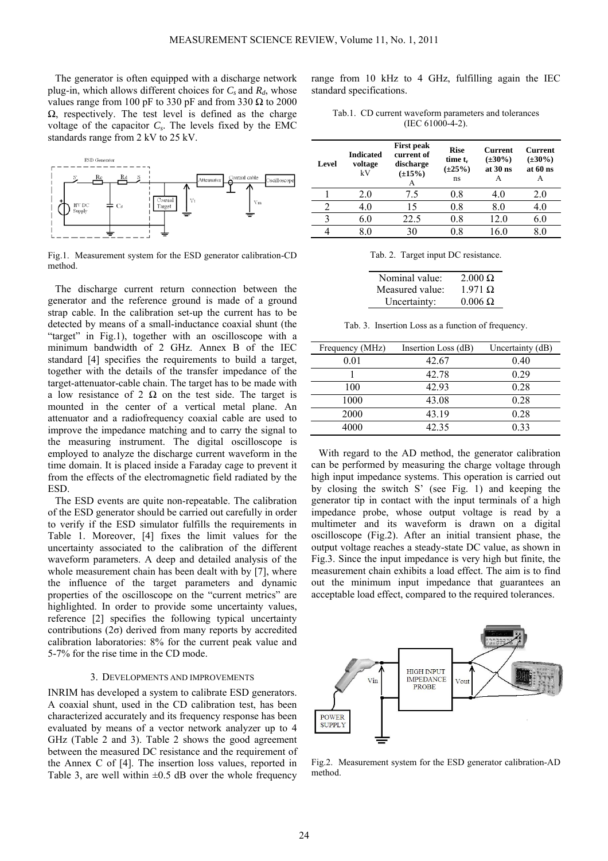The generator is often equipped with a discharg e network plug-in, which allows different choices for  $C_s$  and  $R_d$ , whose values range from 100 pF to 330 pF and from 330  $\Omega$  to 2000  $\Omega$ , respectively. The test level is defined as the charge voltage of the capacitor  $C_s$ . The levels fixed by the EMC standards range from 2 kV to 25 kV.



Fig.1. Measurement system for the ESD generator cal ibration-CD method.

The discharge current return connection between the generator and the reference ground is made of a ground strap cable. In the calibration set-up the current has to be detected by means of a small-inductance coaxial shunt ( the "target" in Fig.1), together with an oscilloscop e wit h a minimum bandwidth of 2 GHz. Annex B of the I EC standard [4] specifies the requirements to build a tar get, together with the details of the transfer impedan c e of the target-attenuator-cable chain. The target has to be m ade with a low resistance of 2  $\Omega$  on the test side. The target is mou nted in the center of a vertical metal pl ane. An attenuator and a radiofrequency coaxial cable are used to improve the impedance matching and to carry the signal to the measuring instrument. The digital oscilloscope is employed to analyze the discharge current waveform in the time domain. It is placed inside a Faraday cage to prevent it from the effects of the electromagnetic field radiated by the ESD.

The ESD events are quite non-repeatable. The calibration of the ESD generator should be carried out carefully in order to verify if the ESD simulator fulfills the requirements in Table 1. Moreover, [4] fixes the limit values for the uncertainty associated to the calibration of the different waveform parameters. A deep and detailed analysis of the whole measurement chain has been dealt with by [7], where the influence of the target parameters and dynamic properties of the oscilloscope on the "current metrics" are highlighted. In order to provide some uncertainty values, reference [2] specifies the following typical uncertainty contributions  $(2\sigma)$  derived from many reports by accredited calibration laboratories: 8% for the current peak value and 5-7% for the rise time in the CD mode.

# 3. DEVELOPMENTS AND IMPROVEMENTS

INRIM has developed a system to calibrate ESD generators. A coaxial shunt, used in the CD calibration test, has been characterized accurately and its frequency response has been evaluated by means of a vector network analyzer up to 4 GHz (Table 2 and 3). Table 2 shows the good agreement between the measured DC resistance and the requirement of the Annex C of [4]. The insertion loss values, reported in Table 3, are well within  $\pm 0.5$  dB over the whole frequency

range from 10 kHz to 4 GHz, fulfilling again the IEC standard specifications.

Tab.1. CD current waveform parameters and tolerances (IEC 61000-4-2).

| Level | <b>Indicated</b><br>voltage<br>kV | <b>First peak</b><br>current of<br>discharge<br>$(\pm 15\%)$ | <b>Rise</b><br>time t <sub>r</sub><br>$(\pm 25\%)$<br>ns | <b>Current</b><br>$(\pm 30\%)$<br>at $30$ ns<br>А | <b>Current</b><br>$(\pm 30\%)$<br>at $60$ ns<br>А |
|-------|-----------------------------------|--------------------------------------------------------------|----------------------------------------------------------|---------------------------------------------------|---------------------------------------------------|
|       | 2.0                               | 7.5                                                          | $0.8\,$                                                  | 4.0                                               | 2.0                                               |
|       | 4.0                               | 15                                                           | 0.8                                                      | 8.0                                               | 4.0                                               |
| 3     | 6.0                               | 22.5                                                         | 0.8                                                      | 12.0                                              | 6.0                                               |
|       |                                   | 30                                                           |                                                          | 6 በ                                               |                                                   |

| Tab. 2. Target input DC resistance. |  |
|-------------------------------------|--|
|-------------------------------------|--|

| Nominal value:  | $2.000 \Omega$  |
|-----------------|-----------------|
| Measured value: | $1971 \Omega$   |
| Uncertainty:    | $0.006\ \Omega$ |

Tab. 3. Insertion Loss as a function of frequency.

| Frequency (MHz) | Insertion Loss (dB) | Uncertainty (dB) |
|-----------------|---------------------|------------------|
| 0.01            | 42.67               | 0.40             |
|                 | 42.78               | 0.29             |
| 100             | 42.93               | 0.28             |
| 1000            | 43.08               | 0.28             |
| 2000            | 43.19               | 0.28             |
| 4000            | 42 35               | 0.33             |

With regard to the AD method, the generator calibration can be performed by measuring the ch arge voltage through high input impedance systems. This op eration is carried out by closing the switch S' (see Fig. 1) and keeping the generator tip in contact with the input terminals of a high impedance probe, whose output voltage is read by a multimeter and its waveform is drawn on a digital oscilloscope (Fig.2). After an initial transient phase, the output voltage reaches a steady-state DC value, as shown in Fig.3. Since the input impedance is very high but finite, the measurement chain exhibits a load effect. The aim is to find out the minimum input impedance that guarantees an acceptable load effect, compared to the required tolerances.



Fig.2. Measurement system for the ESD generator calibration-AD method.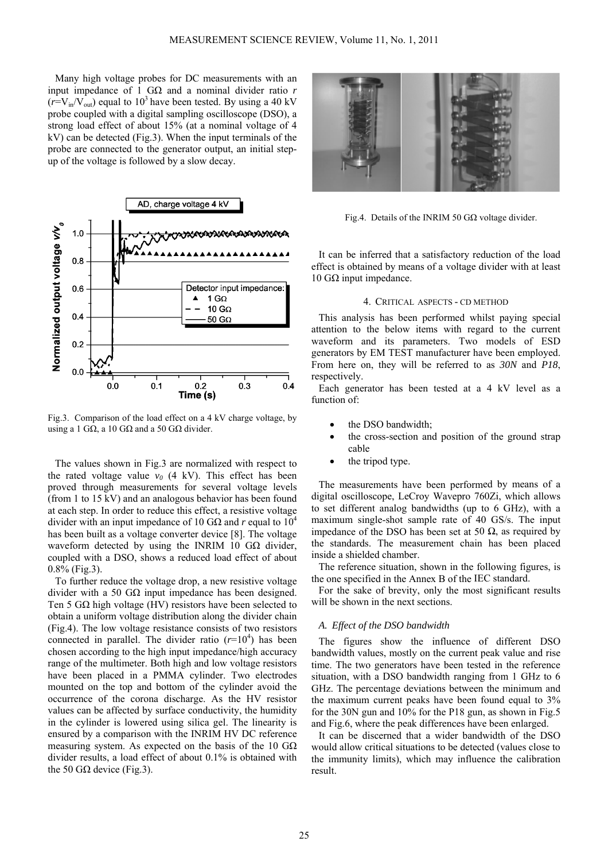Many high voltage probes for DC measuremen ts with an input impedance of 1 GΩ and a nominal divider ratio  $r$  $(r=V_{in}/V_{out})$  equal to 10<sup>3</sup> have been tested. By using a 40 kV probe coupled with a digital sampling oscilloscop e (DSO), a strong load effect of about 15% (at a nominal v oltage of 4  $kV$ ) can be detected (Fig.3). When the input terminals of the probe are connected to the generator output, an initial stepup of the voltage is followed by a slow decay.



Fig.3. Comparison of the load effect on a 4 kV charge voltage, by using a 1 GΩ, a 10 GΩ and a 50 GΩ divider.

The values shown in Fig.3 are normalized with respect to the rated voltage value  $v_0$  (4 kV). This effect has been proved through measurements for several voltage levels at each step. In order to reduce this effect, a resistive voltage has been built as a voltage converter device [8]. The voltage waveform detected by using the INRIM 10 G $\Omega$  divider, (from 1 to 15 kV) and an analogous behavior has b een found divider with an input impedance of 10 G $\Omega$  and *r* equal to  $10^4$ coupled with a DSO, shows a reduced load effec t of about 0.8% (Fig.3).

To further reduce the voltage drop, a new resistive voltage Ten 5  $G\Omega$  high voltage (HV) resistors have been selected to (Fig.4). The low voltage resistance consists of two resistors connected in parallel. The divider ratio  $(r=10<sup>4</sup>)$  has been chosen according to the high input impedance/high accuracy range of the multimeter. Both high and low voltage resistors have been placed in a PMMA cylinder. Two electrodes mounted on the top and bottom of the cylinder avoid the occurrence of the corona discharge. As the HV resistor values can be affected by surface conductivity, the humidity in the cylinder is lowered using silica gel. The linearity is ensured by a comparison with the INRIM HV DC reference measuring system. As expected on the basis of the 10  $G\Omega$ divider results, a load effect of about 0.1% is obtained with the 50 GΩ device (Fig.3). divider with a 50  $GΩ$  input impedance has been designed. obtain a uniform voltage distribution along the divi der chain



Fig.4. Details of the INRIM 50 G $\Omega$  voltage divider.

It can be inferred that a satisfactory reduction of the load effect is obtained by means of a voltage divider with at least 10 GΩ input impedance.

## 4. CRITICAL ASPECTS - CD METHOD

This analysis has been performed whilst paying special attention to the below items with regard to the current waveform and its parameters. Two models of ESD generators by EM TEST manufacturer have been employed. From here on, they will be referred to as 30N and P18, respectively.

Each generator has been tested at a 4 kV level as a function of:

- the DSO bandwidth;
- the cross-section and position of the ground strap cable
- the tripod type.

The measurements have been performed by means of a digital oscilloscope, LeCroy Wavepro 760Zi, which allows to set different analog bandwidths (up to 6 GHz), with a maximum single-shot sample rate of 40 GS/s. The input impedance of the DSO has been set at 50  $\Omega$ , as required by the standards. The measurement chain has been placed inside a shielded chamber.

The reference situation, shown in the following figures, is the one specified in the Annex B of the IEC standard.

For the sake of brevity, only the most significant results will be shown in the next sections.

# *A. Effect of the DSO bandwidth*

The figures show the influence of different DSO bandwidth values, mostly on the current peak value and rise time. The two generators have been tested in the reference situation, with a DSO bandwidth ranging from 1 GHz to 6 GHz. The percentage deviations between the minimum and the maximum current peaks have been found equal to  $3\%$ for the 30N gun and 10% for the P18 gun, as shown in Fig.5 and Fig.6, where the peak differences have been enlarged.

It can be discerned that a wider bandwidth of the DSO would allow critical situations to be detected (values close to the immunity limits), which may influence the calibration result.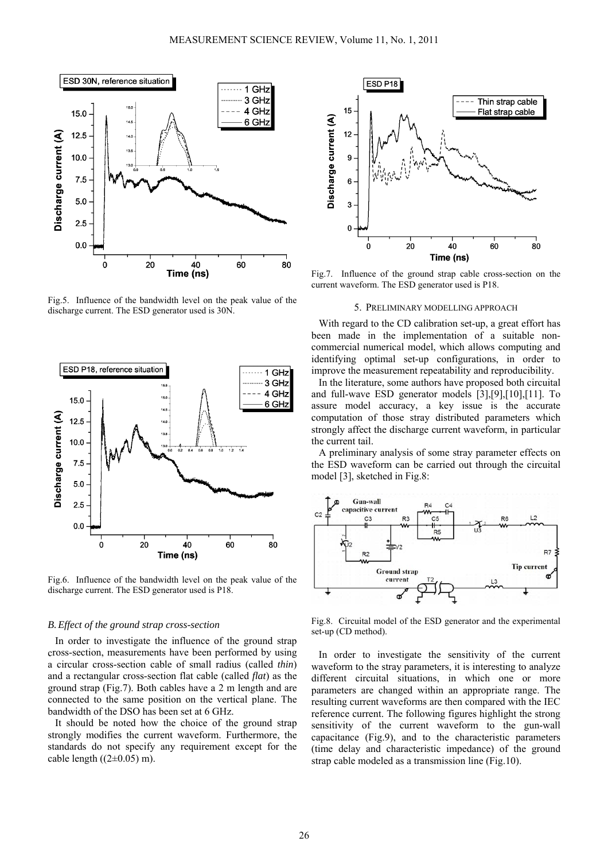

Fig.5. Influence of the bandwidth level on the peak value of the d ischarge current. The ESD generator used is 30N.



Fig.6. Influence of the bandwidth level on the peak value of the discharge current. The ESD generator used is P18.

## *B.Effect of the ground strap cross-section*

In order to investigate the influence of the ground strap cross-section, measurements have been performed by using a circular cross-section cable of small radius (called *thin*) and a rectangular cross-section flat cable (called *flat*) as the ground strap (Fig.7). Both cables have a 2 m length and are connected to the same position on the vertical plane. The bandwidth of the DSO has been set at 6 GHz.

It should be noted how the choice of the ground strap strongly modifies the current waveform. Furthermore, the standards do not specify any requirement except for the cable length  $((2\pm0.05)$  m).



Fig.7. Influence of the ground strap cab le cross-section on the current waveform. The ESD generator used is P18.

## 5. PRELIMINARY MODELLIN G APPROACH

With regard to the CD calibration set-up, a great effort has been made in the implementation of a suitable noncommercial numerical model, which allows computing and identifying optimal set-up configurations, in order to improve the measurement repeatability and reproducibility.

In the literature, some authors have proposed both circuital and full-wave  $ESD$  generator models  $[3],[9],[10],[11]$ . To assure model accuracy, a key issue is the accurate computation of those stray distributed parameters which strongly affect the discharge current waveform, in particular the current tail.

A preliminary analysis of some stray parameter effects on the ESD waveform can be carried out through the circuital model [3], sketched in Fig.8:



Fig.8. Circuital model of the ESD generator and the experimental set-up (CD method).

In order to investigate the sensitivity of the current waveform to the stray parameters, it is interesting to analyze different circuital situations, in which one or more parameters are changed within an appropriate range. The resulting current waveforms are then compared with the IEC reference current. The following figures highlight the strong sensitivity of the current waveform to the gun-wall capacitance (Fig.9), and to the characteristic parameters (time delay and characteristic impedance) of the ground strap cable modeled as a transmission line (Fig.10).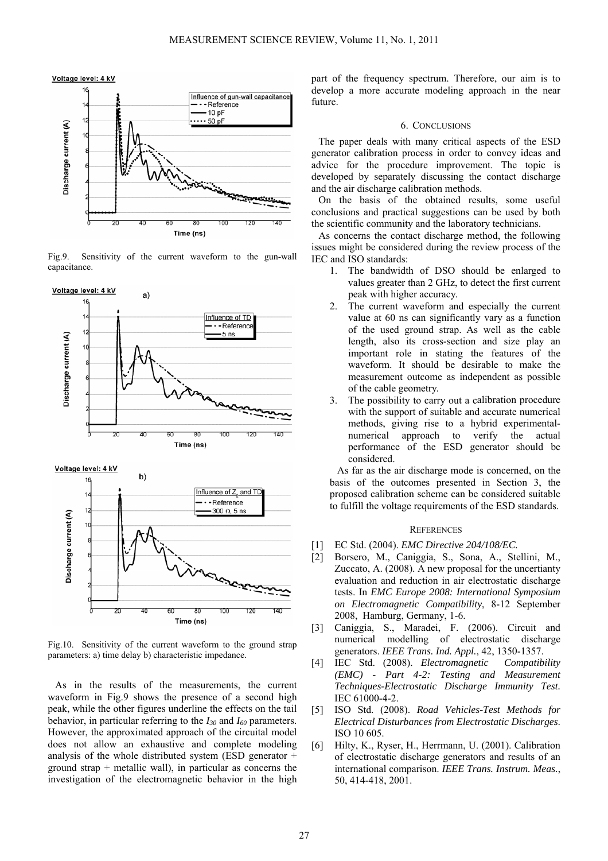

Fig.9. Sensitivity of the current waveform to th e gun-wall capacitance.



Fig.10. Sensitivity of the current waveform to the ground strap parameters: a) time delay b) characteristic impedance.

As in the results of the measurements, the current waveform in Fig.9 shows the presence of a second high peak, while the other figures underline the effects on the tail behavior, in particular referring to the  $I_{30}$  and  $I_{60}$  parameters. However, the approximated approach of the circuital model does not allow an exhaustive and complete modeling analysis of the whole distributed system (ESD generator + ground strap  $+$  metallic wall), in particular as concerns the investigation of the electromagnetic behavior in the high

part of the frequency spectrum. Ther efore, our aim is to develop a more accurate modeling approach in the near futur e.

#### 6. CONCLUSIONS

The paper deals with many critical aspects of the ESD generator calibration process in order to convey ideas and advice for the procedure improvement. The topic is developed by separately discussing the contact discharge and the air discharge calibration methods.

On the basis of the obtained results, some useful conclusions and practical suggestions can be used by both the scientific community and the laboratory technicians.

As concerns the contact discharge method, the following issues might be considered during the review process of the IEC and ISO standards:

- 1. The bandwidth of DSO should be enlarged to values greater than 2 GHz, to detect the first current peak with higher accuracy.
- 2. The current waveform and especially the current value at 60 ns can significantly vary as a function of the used ground strap. As well as the cable length, also its cross-section and size play an important role in stating the features of the waveform. It should be desirable to make the measurement outcome as independent as possible of the cable geometry.
- 3. The possibility to carry out a calibration procedure with the support of suitable and accurate numerical methods, giving rise to a hybrid experimentalnumerical approach to verify the actual performance of the ESD generator should be considered.

As far as the air discharge mode is concerned, on the basis of the outcomes presented in Section 3, the proposed calibration scheme can be considered suitable to fulfill the voltage requirements of the ESD standards.

#### **REFERENCES**

- [1] EC Std. (2004). *EMC Directive 204/108/EC*.
- 2008, Hamburg, Germany, 1-6. [2] Borsero, M., Caniggia, S., Sona, A., Stellini, M., Zuccato, A.  $(2008)$ . A new proposal for the uncertianty evaluation and reduction in air electrostatic discharge tests. In *EMC Europe 2008: International Symposium* on Electromagnetic Compatibility, 8-12 September
- [3] Caniggia, S., Maradei, F. ( 2006). Circuit and numerical modelling of ele ctrostatic discharge gen erators. *IEEE Trans. Ind. Appl.*, 42, 1350-1357.
- [4] IEC Std. (2008). *Electromagnetic Compatibility (EMC) - Part 4-2: Testing and Measurement Techniques-Electrostatic Discharge Immunity Test.* IEC 61000-4-2.
- [5] ISO Std. (2008). *Road Vehicles-Test Methods for Electrical Disturbances from Electrostatic Discharges*. ISO 10 605.
- [6] Hilty, K., Ryser, H., Herrmann, U. (2001). Calibration of electrostatic discharge generators and results of an international comparison. *IEEE Trans. Instrum. Meas.*, 50, 414-418, 2001.